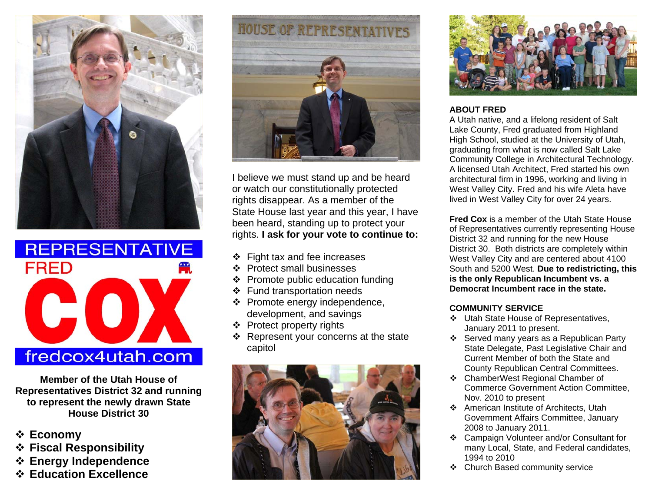



**Member of the Utah House of Representatives District 32 and running to represent the newly drawn State House District 30** 

- **Economy**
- **Fiscal Responsibility**
- **Energy Independence**
- **Education Excellence**



I believe we must stand up and be heard or watch our constitutionally protected rights disappear. As a member of the State House last year and this year, I have been heard, standing up to protect your rights. **I ask for your vote to continue to:** 

- $\div$  Fight tax and fee increases
- ❖ Protect small businesses
- $\div$  Promote public education funding
- Fund transportation needs
- $\div$  Promote energy independence, development, and savings
- ❖ Protect property rights
- $\div$  Represent your concerns at the state capitol





# **ABOUT FRED**

A Utah native, and a lifelong resident of Salt Lake County, Fred graduated from Highland High School, studied at the University of Utah, graduating from what is now called Salt Lake Community College in Architectural Technology. A licensed Utah Architect, Fred started his own architectural firm in 1996, working and living in West Valley City. Fred and his wife Aleta have lived in West Valley City for over 24 years.

**Fred Cox** is a member of the Utah State House of Representatives currently representing House District 32 and running for the new House District 30. Both districts are completely within West Valley City and are centered about 4100 South and 5200 West. **Due to redistricting, this is the only Republican Incumbent vs. a Democrat Incumbent race in the state.** 

# **COMMUNITY SERVICE**

- Utah State House of Representatives, January 2011 to present.
- Served many years as a Republican Party State Delegate, Past Legislative Chair and Current Member of both the State and County Republican Central Committees.
- ChamberWest Regional Chamber of Commerce Government Action Committee, Nov. 2010 to present
- American Institute of Architects, Utah Government Affairs Committee, January 2008 to January 2011.
- Campaign Volunteer and/or Consultant for many Local, State, and Federal candidates, 1994 to 2010
- Church Based community service